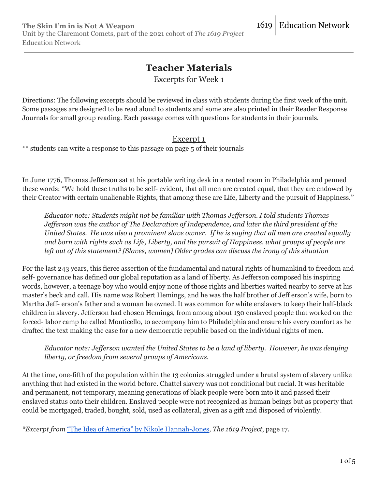# **Teacher Materials**

Excerpts for Week 1

Directions: The following excerpts should be reviewed in class with students during the first week of the unit. Some passages are designed to be read aloud to students and some are also printed in their Reader Response Journals for small group reading. Each passage comes with questions for students in their journals.

### Excerpt 1

\*\* students can write a response to this passage on page 5 of their journals

In June 1776, Thomas Jefferson sat at his portable writing desk in a rented room in Philadelphia and penned these words: ''We hold these truths to be self- evident, that all men are created equal, that they are endowed by their Creator with certain unalienable Rights, that among these are Life, Liberty and the pursuit of Happiness.''

*Educator note: Students might not be familiar with Thomas Jef erson. I told students Thomas Jef erson was the author of The Declaration of Independence, and later the third president of the* United States. He was also a prominent slave owner. If he is saying that all men are created equally and born with rights such as Life, Liberty, and the pursuit of Happiness, what groups of people are *left out of this statement? [Slaves, women] Older grades can discuss the irony of this situation*

For the last 243 years, this fierce assertion of the fundamental and natural rights of humankind to freedom and self- governance has defined our global reputation as a land of liberty. As Jefferson composed his inspiring words, however, a teenage boy who would enjoy none of those rights and liberties waited nearby to serve at his master's beck and call. His name was Robert Hemings, and he was the half brother of Jeff erson's wife, born to Martha Jeff- erson's father and a woman he owned. It was common for white enslavers to keep their half-black children in slavery. Jefferson had chosen Hemings, from among about 130 enslaved people that worked on the forced- labor camp he called Monticello, to accompany him to Philadelphia and ensure his every comfort as he drafted the text making the case for a new democratic republic based on the individual rights of men.

*Educator note: Jef erson wanted the United States to be a land of liberty. However, he was denying liberty, or freedom from several groups of Americans.*

At the time, one-fifth of the population within the 13 colonies struggled under a brutal system of slavery unlike anything that had existed in the world before. Chattel slavery was not conditional but racial. It was heritable and permanent, not temporary, meaning generations of black people were born into it and passed their enslaved status onto their children. Enslaved people were not recognized as human beings but as property that could be mortgaged, traded, bought, sold, used as collateral, given as a gift and disposed of violently.

*\*Excerpt from* "The Idea of America" by Nikole [Hannah-Jones](https://pulitzercenter.org/sites/default/files/the_idea_of_america_full_essay.pdf)*, The 1619 Project*, page 17.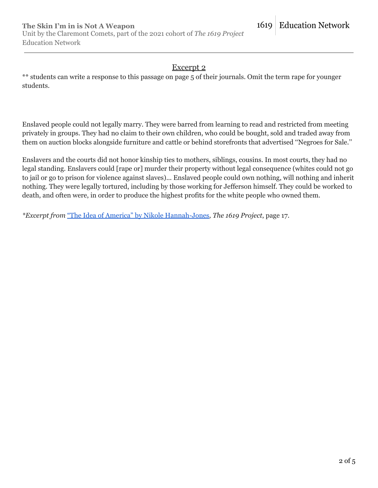## Excerpt 2

\*\* students can write a response to this passage on page 5 of their journals. Omit the term rape for younger students.

Enslaved people could not legally marry. They were barred from learning to read and restricted from meeting privately in groups. They had no claim to their own children, who could be bought, sold and traded away from them on auction blocks alongside furniture and cattle or behind storefronts that advertised ''Negroes for Sale.''

Enslavers and the courts did not honor kinship ties to mothers, siblings, cousins. In most courts, they had no legal standing. Enslavers could [rape or] murder their property without legal consequence (whites could not go to jail or go to prison for violence against slaves)... Enslaved people could own nothing, will nothing and inherit nothing. They were legally tortured, including by those working for Jefferson himself. They could be worked to death, and often were, in order to produce the highest profits for the white people who owned them.

*\*Excerpt from* "The Idea of America" by Nikole [Hannah-Jones](https://pulitzercenter.org/sites/default/files/the_idea_of_america_full_essay.pdf)*, The 1619 Project*, page 17.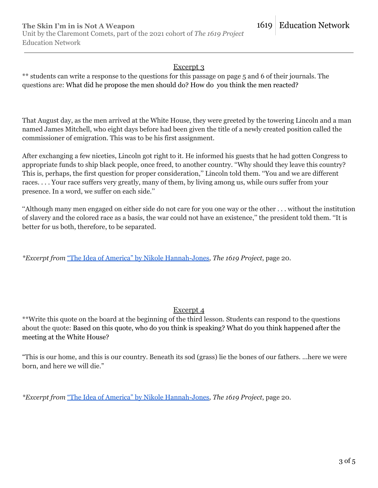#### Excerpt 3

\*\* students can write a response to the questions for this passage on page 5 and 6 of their journals. The questions are: What did he propose the men should do? How do you think the men reacted?

That August day, as the men arrived at the White House, they were greeted by the towering Lincoln and a man named James Mitchell, who eight days before had been given the title of a newly created position called the commissioner of emigration. This was to be his first assignment.

After exchanging a few niceties, Lincoln got right to it. He informed his guests that he had gotten Congress to appropriate funds to ship black people, once freed, to another country. ''Why should they leave this country? This is, perhaps, the first question for proper consideration,'' Lincoln told them. ''You and we are different races. . . . Your race suffers very greatly, many of them, by living among us, while ours suffer from your presence. In a word, we suffer on each side.''

''Although many men engaged on either side do not care for you one way or the other . . . without the institution of slavery and the colored race as a basis, the war could not have an existence,'' the president told them. ''It is better for us both, therefore, to be separated.

*\*Excerpt from* "The Idea of America" by Nikole [Hannah-Jones](https://pulitzercenter.org/sites/default/files/the_idea_of_america_full_essay.pdf)*, The 1619 Project*, page 20.

#### Excerpt 4

\*\*Write this quote on the board at the beginning of the third lesson. Students can respond to the questions about the quote: Based on this quote, who do you think is speaking? What do you think happened after the meeting at the White House?

"This is our home, and this is our country. Beneath its sod (grass) lie the bones of our fathers. ...here we were born, and here we will die."

*\*Excerpt from* "The Idea of America" by Nikole [Hannah-Jones](https://pulitzercenter.org/sites/default/files/the_idea_of_america_full_essay.pdf)*, The 1619 Project*, page 20.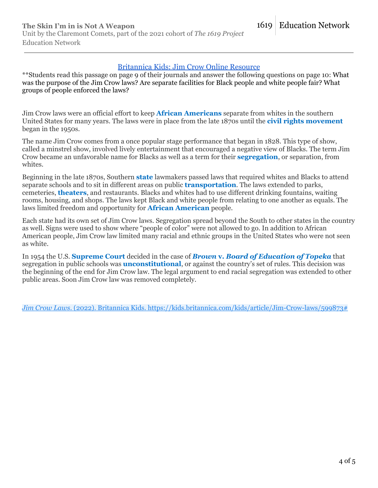#### [Britannica Kids: Jim Crow Online Resource](https://kids.britannica.com/kids/article/Jim-Crow-laws/599873)

\*\*Students read this passage on page 9 of their journals and answer the following questions on page 10: What was the purpose of the Jim Crow laws? Are separate facilities for Black people and white people fair? What groups of people enforced the laws?

Jim Crow laws were an official effort to keep **African [Americans](https://kids.britannica.com/kids/article/African-Americans/352712)** separate from whites in the southern United States for many years. The laws were in place from the late 1870s until the **civil rights [movement](https://kids.britannica.com/kids/article/civil-rights/352966)** began in the 1950s.

The name Jim Crow comes from a once popular stage performance that began in 1828. This type of show, called a minstrel show, involved lively entertainment that encouraged a negative view of Blacks. The term Jim Crow became an unfavorable name for Blacks as well as a term for their **[segregation](https://kids.britannica.com/kids/article/segregation/632620)**, or separation, from whites.

Beginning in the late 1870s, Southern **[state](https://kids.britannica.com/kids/article/state-government/391003)** lawmakers passed laws that required whites and Blacks to attend separate schools and to sit in different areas on public **[transportation](https://kids.britannica.com/kids/article/transportation/399628)**. The laws extended to parks, cemeteries, **[theaters](https://kids.britannica.com/kids/article/theater/390623)**, and restaurants. Blacks and whites had to use different drinking fountains, waiting rooms, housing, and shops. The laws kept Black and white people from relating to one another as equals. The laws limited freedom and opportunity for **African [American](https://kids.britannica.com/kids/article/African-Americans/352712)** people.

Each state had its own set of Jim Crow laws. Segregation spread beyond the South to other states in the country as well. Signs were used to show where "people of color" were not allowed to go. In addition to African American people, Jim Crow law limited many racial and ethnic groups in the United States who were not seen as white.

In 1954 the U.S. **[Supreme](https://kids.britannica.com/kids/article/United-States-Supreme-Court/353827) Court** decided in the case of *Brown* **v.** *Board of [Education](https://kids.britannica.com/kids/article/Brown-v-Board-of-Education-of-Topeka/627788) of Topeka* that segregation in public schools was **[unconstitutional](https://kids.britannica.com/kids/article/constitution/352996)**, or against the country's set of rules. This decision was the beginning of the end for Jim Crow law. The legal argument to end racial segregation was extended to other public areas. Soon Jim Crow law was removed completely.

*Jim Crow Laws*. (2022). Britannica Kids. https://kids.britannica.com/kids/article/Jim-Crow-laws/599873#